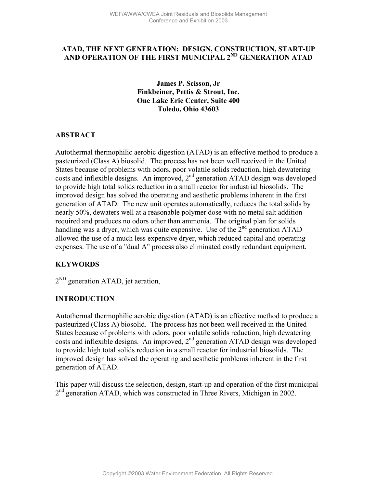# **ATAD, THE NEXT GENERATION: DESIGN, CONSTRUCTION, START-UP AND OPERATION OF THE FIRST MUNICIPAL 2ND GENERATION ATAD**

**James P. Scisson, Jr Finkbeiner, Pettis & Strout, Inc. One Lake Erie Center, Suite 400 Toledo, Ohio 43603**

#### **ABSTRACT**

Autothermal thermophilic aerobic digestion (ATAD) is an effective method to produce a pasteurized (Class A) biosolid. The process has not been well received in the United States because of problems with odors, poor volatile solids reduction, high dewatering costs and inflexible designs. An improved,  $2<sup>nd</sup>$  generation ATAD design was developed to provide high total solids reduction in a small reactor for industrial biosolids. The improved design has solved the operating and aesthetic problems inherent in the first generation of ATAD. The new unit operates automatically, reduces the total solids by nearly 50%, dewaters well at a reasonable polymer dose with no metal salt addition required and produces no odors other than ammonia. The original plan for solids handling was a dryer, which was quite expensive. Use of the  $2^{nd}$  generation ATAD allowed the use of a much less expensive dryer, which reduced capital and operating expenses. The use of a "dual A" process also eliminated costly redundant equipment.

## **KEYWORDS**

 $2^{ND}$  generation ATAD, jet aeration,

### **INTRODUCTION**

Autothermal thermophilic aerobic digestion (ATAD) is an effective method to produce a pasteurized (Class A) biosolid. The process has not been well received in the United States because of problems with odors, poor volatile solids reduction, high dewatering costs and inflexible designs. An improved,  $2<sup>nd</sup>$  generation ATAD design was developed to provide high total solids reduction in a small reactor for industrial biosolids. The improved design has solved the operating and aesthetic problems inherent in the first generation of ATAD.

This paper will discuss the selection, design, start-up and operation of the first municipal 2<sup>nd</sup> generation ATAD, which was constructed in Three Rivers, Michigan in 2002.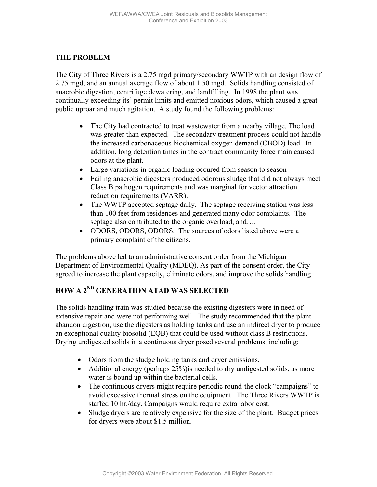#### **THE PROBLEM**

The City of Three Rivers is a 2.75 mgd primary/secondary WWTP with an design flow of 2.75 mgd, and an annual average flow of about 1.50 mgd. Solids handling consisted of anaerobic digestion, centrifuge dewatering, and landfilling. In 1998 the plant was continually exceeding its' permit limits and emitted noxious odors, which caused a great public uproar and much agitation. A study found the following problems:

- The City had contracted to treat wastewater from a nearby village. The load was greater than expected. The secondary treatment process could not handle the increased carbonaceous biochemical oxygen demand (CBOD) load. In addition, long detention times in the contract community force main caused odors at the plant.
- Large variations in organic loading occured from season to season
- Failing anaerobic digesters produced odorous sludge that did not always meet Class B pathogen requirements and was marginal for vector attraction reduction requirements (VARR).
- The WWTP accepted septage daily. The septage receiving station was less than 100 feet from residences and generated many odor complaints. The septage also contributed to the organic overload, and....
- ODORS, ODORS, ODORS. The sources of odors listed above were a primary complaint of the citizens.

The problems above led to an administrative consent order from the Michigan Department of Environmental Quality (MDEQ). As part of the consent order, the City agreed to increase the plant capacity, eliminate odors, and improve the solids handling

# **HOW A 2ND GENERATION ATAD WAS SELECTED**

The solids handling train was studied because the existing digesters were in need of extensive repair and were not performing well. The study recommended that the plant abandon digestion, use the digesters as holding tanks and use an indirect dryer to produce an exceptional quality biosolid (EQB) that could be used without class B restrictions. Drying undigested solids in a continuous dryer posed several problems, including:

- Odors from the sludge holding tanks and dryer emissions.
- Additional energy (perhaps 25%) is needed to dry undigested solids, as more water is bound up within the bacterial cells.
- The continuous dryers might require periodic round-the clock "campaigns" to avoid excessive thermal stress on the equipment. The Three Rivers WWTP is staffed 10 hr./day. Campaigns would require extra labor cost.
- Sludge dryers are relatively expensive for the size of the plant. Budget prices for dryers were about \$1.5 million.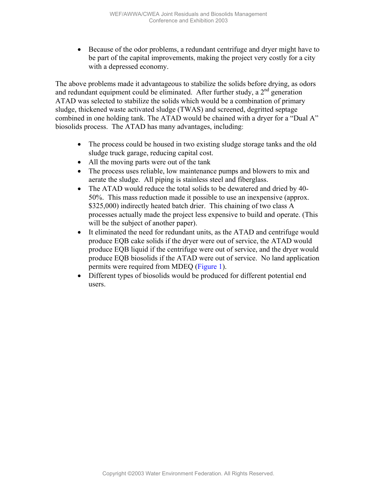• Because of the odor problems, a redundant centrifuge and dryer might have to be part of the capital improvements, making the project very costly for a city with a depressed economy.

The above problems made it advantageous to stabilize the solids before drying, as odors and redundant equipment could be eliminated. After further study, a  $2<sup>nd</sup>$  generation ATAD was selected to stabilize the solids which would be a combination of primary sludge, thickened waste activated sludge (TWAS) and screened, degritted septage combined in one holding tank. The ATAD would be chained with a dryer for a "Dual A" biosolids process. The ATAD has many advantages, including:

- The process could be housed in two existing sludge storage tanks and the old sludge truck garage, reducing capital cost.
- All the moving parts were out of the tank
- The process uses reliable, low maintenance pumps and blowers to mix and aerate the sludge. All piping is stainless steel and fiberglass.
- The ATAD would reduce the total solids to be dewatered and dried by 40-50%. This mass reduction made it possible to use an inexpensive (approx. \$325,000) indirectly heated batch drier. This chaining of two class A processes actually made the project less expensive to build and operate. (This will be the subject of another paper).
- It eliminated the need for redundant units, as the ATAD and centrifuge would produce EQB cake solids if the dryer were out of service, the ATAD would produce EQB liquid if the centrifuge were out of service, and the dryer would produce EQB biosolids if the ATAD were out of service. No land application permits were required from MDEQ [\(Figure 1\)](#page-3-0).
- Different types of biosolids would be produced for different potential end users.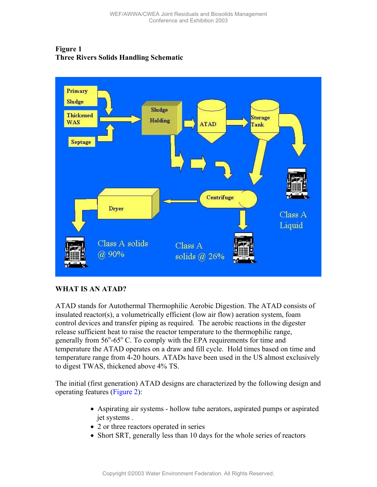<span id="page-3-0"></span>



### **WHAT IS AN ATAD?**

ATAD stands for Autothermal Thermophilic Aerobic Digestion. The ATAD consists of insulated reactor(s), a volumetrically efficient (low air flow) aeration system, foam control devices and transfer piping as required. The aerobic reactions in the digester release sufficient heat to raise the reactor temperature to the thermophilic range, generally from 56°-65° C. To comply with the EPA requirements for time and temperature the ATAD operates on a draw and fill cycle. Hold times based on time and temperature range from 4-20 hours. ATADs have been used in the US almost exclusively to digest TWAS, thickened above 4% TS.

The initial (first generation) ATAD designs are characterized by the following design and operating features [\(Figure 2\)](#page-4-0):

- Aspirating air systems hollow tube aerators, aspirated pumps or aspirated jet systems .
- 2 or three reactors operated in series
- Short SRT, generally less than 10 days for the whole series of reactors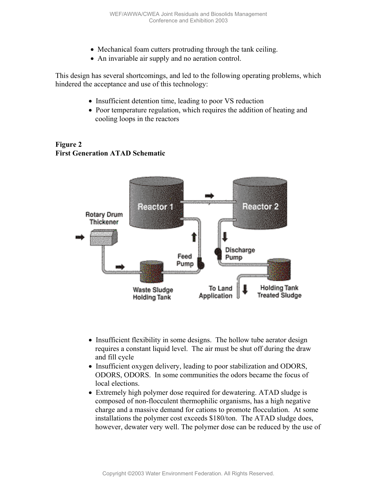- Mechanical foam cutters protruding through the tank ceiling.
- An invariable air supply and no aeration control.

<span id="page-4-0"></span>This design has several shortcomings, and led to the following operating problems, which hindered the acceptance and use of this technology:

- Insufficient detention time, leading to poor VS reduction
- Poor temperature regulation, which requires the addition of heating and cooling loops in the reactors

#### **Figure 2 First Generation ATAD Schematic**



- Insufficient flexibility in some designs. The hollow tube aerator design requires a constant liquid level. The air must be shut off during the draw and fill cycle
- Insufficient oxygen delivery, leading to poor stabilization and ODORS, ODORS, ODORS. In some communities the odors became the focus of local elections.
- Extremely high polymer dose required for dewatering. ATAD sludge is composed of non-flocculent thermophilic organisms, has a high negative charge and a massive demand for cations to promote flocculation. At some installations the polymer cost exceeds \$180/ton. The ATAD sludge does, however, dewater very well. The polymer dose can be reduced by the use of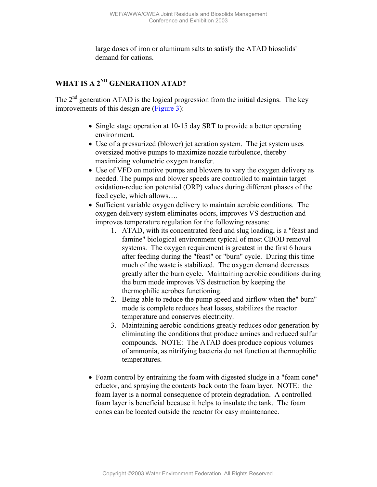large doses of iron or aluminum salts to satisfy the ATAD biosolids' demand for cations.

# **WHAT IS A 2ND GENERATION ATAD?**

The  $2<sup>nd</sup>$  generation ATAD is the logical progression from the initial designs. The key improvements of this design are ([Figure 3\)](#page-6-0):

- Single stage operation at 10-15 day SRT to provide a better operating environment.
- Use of a pressurized (blower) jet aeration system. The jet system uses oversized motive pumps to maximize nozzle turbulence, thereby maximizing volumetric oxygen transfer.
- Use of VFD on motive pumps and blowers to vary the oxygen delivery as needed. The pumps and blower speeds are controlled to maintain target oxidation-reduction potential (ORP) values during different phases of the feed cycle, which allows….
- Sufficient variable oxygen delivery to maintain aerobic conditions. The oxygen delivery system eliminates odors, improves VS destruction and improves temperature regulation for the following reasons:
	- 1. ATAD, with its concentrated feed and slug loading, is a "feast and famine" biological environment typical of most CBOD removal systems. The oxygen requirement is greatest in the first 6 hours after feeding during the "feast" or "burn" cycle. During this time much of the waste is stabilized. The oxygen demand decreases greatly after the burn cycle. Maintaining aerobic conditions during the burn mode improves VS destruction by keeping the thermophilic aerobes functioning.
	- 2. Being able to reduce the pump speed and airflow when the" burn" mode is complete reduces heat losses, stabilizes the reactor temperature and conserves electricity.
	- 3. Maintaining aerobic conditions greatly reduces odor generation by eliminating the conditions that produce amines and reduced sulfur compounds. NOTE: The ATAD does produce copious volumes of ammonia, as nitrifying bacteria do not function at thermophilic temperatures.
- Foam control by entraining the foam with digested sludge in a "foam cone" eductor, and spraying the contents back onto the foam layer. NOTE: the foam layer is a normal consequence of protein degradation. A controlled foam layer is beneficial because it helps to insulate the tank. The foam cones can be located outside the reactor for easy maintenance.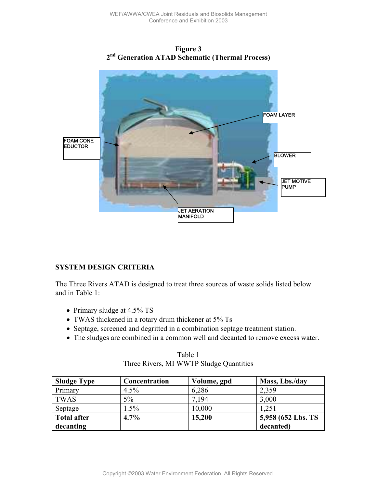<span id="page-6-0"></span>

**Figure 3** 

### **SYSTEM DESIGN CRITERIA**

The Three Rivers ATAD is designed to treat three sources of waste solids listed below and in Table 1:

- Primary sludge at 4.5% TS
- TWAS thickened in a rotary drum thickener at 5% Ts
- Septage, screened and degritted in a combination septage treatment station.
- The sludges are combined in a common well and decanted to remove excess water.

| Tavit 1                                 |
|-----------------------------------------|
| Three Rivers, MI WWTP Sludge Quantities |
|                                         |

 $T_0$ kla 1

| <b>Sludge Type</b> | Concentration | Volume, gpd | Mass, Lbs./day     |
|--------------------|---------------|-------------|--------------------|
| Primary            | $4.5\%$       | 6,286       | 2,359              |
| <b>TWAS</b>        | $5\%$         | 7.194       | 3,000              |
| Septage            | 1.5%          | 10,000      | 1,251              |
| <b>Total after</b> | 4.7%          | 15,200      | 5,958 (652 Lbs. TS |
| decanting          |               |             | decanted)          |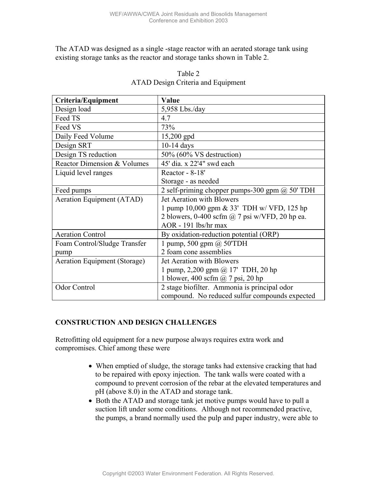The ATAD was designed as a single -stage reactor with an aerated storage tank using existing storage tanks as the reactor and storage tanks shown in Table 2.

| Criteria/Equipment           | Value                                                 |  |  |  |
|------------------------------|-------------------------------------------------------|--|--|--|
| Design load                  | $5,958$ Lbs./day                                      |  |  |  |
| Feed TS                      | 4.7                                                   |  |  |  |
| Feed VS                      | 73%                                                   |  |  |  |
| Daily Feed Volume            | $15,200$ gpd                                          |  |  |  |
| Design SRT                   | $10-14$ days                                          |  |  |  |
| Design TS reduction          | 50% (60% VS destruction)                              |  |  |  |
| Reactor Dimension & Volumes  | 45' dia. x 22'4" swd each                             |  |  |  |
| Liquid level ranges          | Reactor - 8-18'                                       |  |  |  |
|                              | Storage - as needed                                   |  |  |  |
| Feed pumps                   | 2 self-priming chopper pumps-300 gpm $(a)$ 50' TDH    |  |  |  |
| Aeration Equipment (ATAD)    | Jet Aeration with Blowers                             |  |  |  |
|                              | 1 pump 10,000 gpm & 33' TDH w/ VFD, 125 hp            |  |  |  |
|                              | 2 blowers, 0-400 scfm $\omega$ 7 psi w/VFD, 20 hp ea. |  |  |  |
|                              | AOR - 191 lbs/hr max                                  |  |  |  |
| <b>Aeration Control</b>      | By oxidation-reduction potential (ORP)                |  |  |  |
| Foam Control/Sludge Transfer | 1 pump, 500 gpm $(a)$ 50'TDH                          |  |  |  |
| pump                         | 2 foam cone assemblies                                |  |  |  |
| Aeration Equipment (Storage) | Jet Aeration with Blowers                             |  |  |  |
|                              | 1 pump, 2,200 gpm $@$ 17' TDH, 20 hp                  |  |  |  |
|                              | 1 blower, 400 scfm $\omega$ 7 psi, 20 hp              |  |  |  |
| Odor Control                 | 2 stage biofilter. Ammonia is principal odor          |  |  |  |
|                              | compound. No reduced sulfur compounds expected        |  |  |  |

#### Table 2 ATAD Design Criteria and Equipment

### **CONSTRUCTION AND DESIGN CHALLENGES**

Retrofitting old equipment for a new purpose always requires extra work and compromises. Chief among these were

- When emptied of sludge, the storage tanks had extensive cracking that had to be repaired with epoxy injection. The tank walls were coated with a compound to prevent corrosion of the rebar at the elevated temperatures and pH (above 8.0) in the ATAD and storage tank.
- Both the ATAD and storage tank jet motive pumps would have to pull a suction lift under some conditions. Although not recommended practive, the pumps, a brand normally used the pulp and paper industry, were able to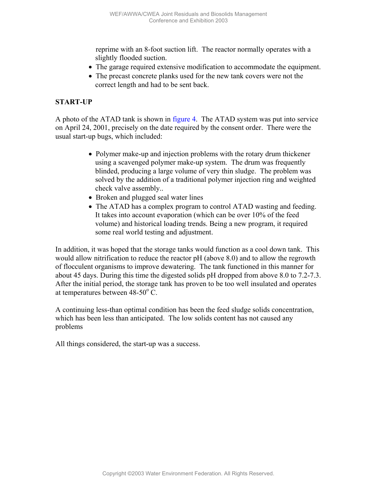reprime with an 8-foot suction lift. The reactor normally operates with a slightly flooded suction.

- The garage required extensive modification to accommodate the equipment.
- The precast concrete planks used for the new tank covers were not the correct length and had to be sent back.

#### **START-UP**

A photo of the ATAD tank is shown in [figure 4.](#page-9-0) The ATAD system was put into service on April 24, 2001, precisely on the date required by the consent order. There were the usual start-up bugs, which included:

- Polymer make-up and injection problems with the rotary drum thickener using a scavenged polymer make-up system. The drum was frequently blinded, producing a large volume of very thin sludge. The problem was solved by the addition of a traditional polymer injection ring and weighted check valve assembly..
- Broken and plugged seal water lines
- The ATAD has a complex program to control ATAD wasting and feeding. It takes into account evaporation (which can be over 10% of the feed volume) and historical loading trends. Being a new program, it required some real world testing and adjustment.

In addition, it was hoped that the storage tanks would function as a cool down tank. This would allow nitrification to reduce the reactor pH (above 8.0) and to allow the regrowth of flocculent organisms to improve dewatering. The tank functioned in this manner for about 45 days. During this time the digested solids pH dropped from above 8.0 to 7.2-7.3. After the initial period, the storage tank has proven to be too well insulated and operates at temperatures between  $48-50^{\circ}$  C.

A continuing less-than optimal condition has been the feed sludge solids concentration, which has been less than anticipated. The low solids content has not caused any problems

All things considered, the start-up was a success.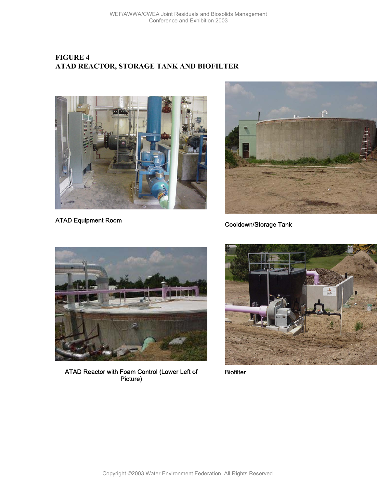# <span id="page-9-0"></span>**FIGURE 4 ATAD REACTOR, STORAGE TANK AND BIOFILTER**



ATAD Equipment Room



Cooldown/Storage Tank



ATAD Reactor with Foam Control (Lower Left of Picture)



**Biofilter**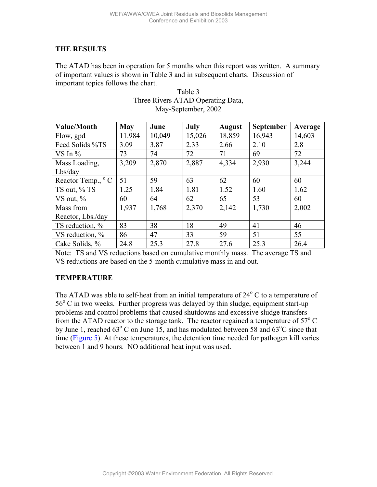#### **THE RESULTS**

The ATAD has been in operation for 5 months when this report was written. A summary of important values is shown in Table 3 and in subsequent charts. Discussion of important topics follows the chart.

| <b>Value/Month</b>         | <b>May</b> | June   | July   | <b>August</b> | <b>September</b> | Average |
|----------------------------|------------|--------|--------|---------------|------------------|---------|
| Flow, gpd                  | 11.984     | 10,049 | 15,026 | 18,859        | 16,943           | 14,603  |
| Feed Solids %TS            | 3.09       | 3.87   | 2.33   | 2.66          | 2.10             | 2.8     |
| VS In $%$                  | 73         | 74     | 72     | 71            | 69               | 72      |
| Mass Loading,              | 3,209      | 2,870  | 2,887  | 4,334         | 2,930            | 3,244   |
| Lbs/day                    |            |        |        |               |                  |         |
| Reactor Temp., $\degree$ C | 51         | 59     | 63     | 62            | 60               | 60      |
| TS out, % TS               | 1.25       | 1.84   | 1.81   | 1.52          | 1.60             | 1.62    |
| VS out, $\%$               | 60         | 64     | 62     | 65            | 53               | 60      |
| Mass from                  | 1,937      | 1,768  | 2,370  | 2,142         | 1,730            | 2,002   |
| Reactor, Lbs./day          |            |        |        |               |                  |         |
| TS reduction, $\%$         | 83         | 38     | 18     | 49            | 41               | 46      |
| VS reduction, $\%$         | 86         | 47     | 33     | 59            | 51               | 55      |
| Cake Solids, %             | 24.8       | 25.3   | 27.8   | 27.6          | 25.3             | 26.4    |

| Table 3                           |
|-----------------------------------|
| Three Rivers ATAD Operating Data, |
| May-September, 2002               |

Note: TS and VS reductions based on cumulative monthly mass. The average TS and VS reductions are based on the 5-month cumulative mass in and out.

### **TEMPERATURE**

The ATAD was able to self-heat from an initial temperature of  $24^{\circ}$  C to a temperature of  $56^{\circ}$  C in two weeks. Further progress was delayed by thin sludge, equipment start-up problems and control problems that caused shutdowns and excessive sludge transfers from the ATAD reactor to the storage tank. The reactor regained a temperature of  $57^{\circ}$  C by June 1, reached  $63^{\circ}$  C on June 15, and has modulated between 58 and  $63^{\circ}$ C since that time [\(Figure 5\)](#page-11-0). At these temperatures, the detention time needed for pathogen kill varies between 1 and 9 hours. NO additional heat input was used.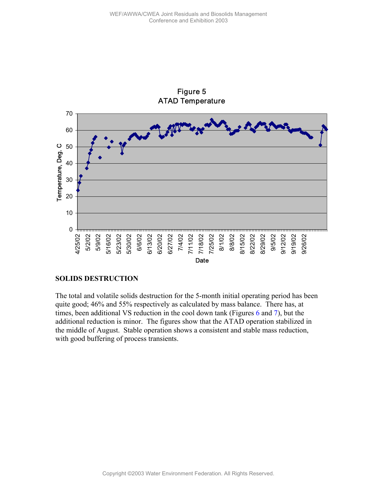<span id="page-11-0"></span>

## Figure 5 ATAD Temperature

#### **SOLIDS DESTRUCTION**

The total and volatile solids destruction for the 5-month initial operating period has been quite good; 46% and 55% respectively as calculated by mass balance. There has, at times, been additional VS reduction in the cool down tank (Figures [6 a](#page-12-0)nd [7\)](#page-12-0), but the additional reduction is minor. The figures show that the ATAD operation stabilized in the middle of August. Stable operation shows a consistent and stable mass reduction, with good buffering of process transients.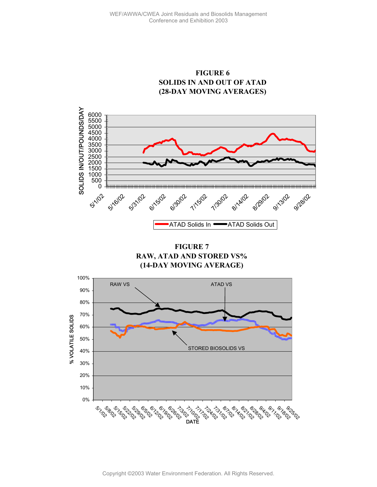

<span id="page-12-0"></span>

**FIGURE 7 RAW, ATAD AND STORED VS% (14-DAY MOVING AVERAGE)**

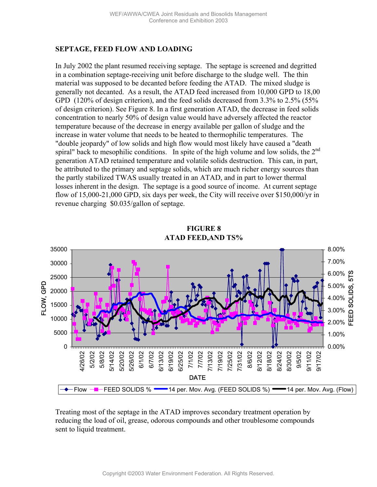## **SEPTAGE, FEED FLOW AND LOADING**

In July 2002 the plant resumed receiving septage. The septage is screened and degritted in a combination septage-receiving unit before discharge to the sludge well. The thin material was supposed to be decanted before feeding the ATAD. The mixed sludge is generally not decanted. As a result, the ATAD feed increased from 10,000 GPD to 18,00 GPD (120% of design criterion), and the feed solids decreased from 3.3% to 2.5% (55% of design criterion). See Figure 8. In a first generation ATAD, the decrease in feed solids concentration to nearly 50% of design value would have adversely affected the reactor temperature because of the decrease in energy available per gallon of sludge and the increase in water volume that needs to be heated to thermophilic temperatures. The "double jeopardy" of low solids and high flow would most likely have caused a "death spiral" back to mesophilic conditions. In spite of the high volume and low solids, the  $2<sup>nd</sup>$ generation ATAD retained temperature and volatile solids destruction. This can, in part, be attributed to the primary and septage solids, which are much richer energy sources than the partly stabilized TWAS usually treated in an ATAD, and in part to lower thermal losses inherent in the design. The septage is a good source of income. At current septage flow of 15,000-21,000 GPD, six days per week, the City will receive over \$150,000/yr in revenue charging \$0.035/gallon of septage.



## **FIGURE 8 ATAD FEED,AND TS%**

Treating most of the septage in the ATAD improves secondary treatment operation by reducing the load of oil, grease, odorous compounds and other troublesome compounds sent to liquid treatment.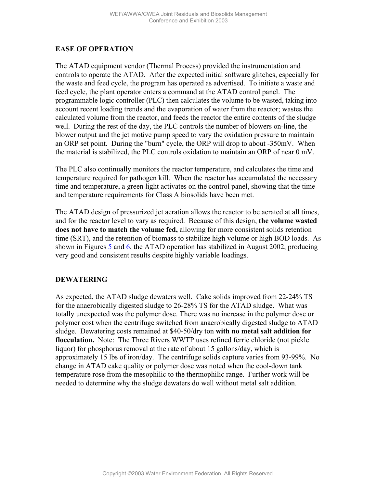### **EASE OF OPERATION**

The ATAD equipment vendor (Thermal Process) provided the instrumentation and controls to operate the ATAD. After the expected initial software glitches, especially for the waste and feed cycle, the program has operated as advertised. To initiate a waste and feed cycle, the plant operator enters a command at the ATAD control panel. The programmable logic controller (PLC) then calculates the volume to be wasted, taking into account recent loading trends and the evaporation of water from the reactor; wastes the calculated volume from the reactor, and feeds the reactor the entire contents of the sludge well. During the rest of the day, the PLC controls the number of blowers on-line, the blower output and the jet motive pump speed to vary the oxidation pressure to maintain an ORP set point. During the "burn" cycle, the ORP will drop to about -350mV. When the material is stabilized, the PLC controls oxidation to maintain an ORP of near 0 mV.

The PLC also continually monitors the reactor temperature, and calculates the time and temperature required for pathogen kill. When the reactor has accumulated the necessary time and temperature, a green light activates on the control panel, showing that the time and temperature requirements for Class A biosolids have been met.

The ATAD design of pressurized jet aeration allows the reactor to be aerated at all times, and for the reactor level to vary as required. Because of this design, **the volume wasted does not have to match the volume fed,** allowing for more consistent solids retention time (SRT), and the retention of biomass to stabilize high volume or high BOD loads. As shown in Figures [5 a](#page-11-0)nd [6,](#page-12-0) the ATAD operation has stabilized in August 2002, producing very good and consistent results despite highly variable loadings.

### **DEWATERING**

As expected, the ATAD sludge dewaters well. Cake solids improved from 22-24% TS for the anaerobically digested sludge to 26-28% TS for the ATAD sludge. What was totally unexpected was the polymer dose. There was no increase in the polymer dose or polymer cost when the centrifuge switched from anaerobically digested sludge to ATAD sludge. Dewatering costs remained at \$40-50/dry ton **with no metal salt addition for flocculation.** Note: The Three Rivers WWTP uses refined ferric chloride (not pickle liquor) for phosphorus removal at the rate of about 15 gallons/day, which is approximately 15 lbs of iron/day. The centrifuge solids capture varies from 93-99%. No change in ATAD cake quality or polymer dose was noted when the cool-down tank temperature rose from the mesophilic to the thermophilic range. Further work will be needed to determine why the sludge dewaters do well without metal salt addition.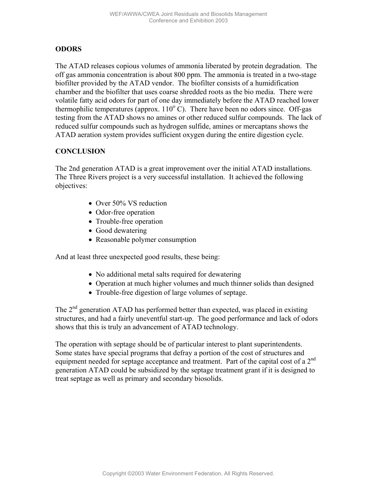### **ODORS**

The ATAD releases copious volumes of ammonia liberated by protein degradation. The off gas ammonia concentration is about 800 ppm. The ammonia is treated in a two-stage biofilter provided by the ATAD vendor. The biofilter consists of a humidification chamber and the biofilter that uses coarse shredded roots as the bio media. There were volatile fatty acid odors for part of one day immediately before the ATAD reached lower thermophilic temperatures (approx.  $110^{\circ}$  C). There have been no odors since. Off-gas testing from the ATAD shows no amines or other reduced sulfur compounds. The lack of reduced sulfur compounds such as hydrogen sulfide, amines or mercaptans shows the ATAD aeration system provides sufficient oxygen during the entire digestion cycle.

### **CONCLUSION**

The 2nd generation ATAD is a great improvement over the initial ATAD installations. The Three Rivers project is a very successful installation. It achieved the following objectives:

- Over 50% VS reduction
- Odor-free operation
- Trouble-free operation
- Good dewatering
- Reasonable polymer consumption

And at least three unexpected good results, these being:

- No additional metal salts required for dewatering
- Operation at much higher volumes and much thinner solids than designed
- Trouble-free digestion of large volumes of septage.

The  $2<sup>nd</sup>$  generation ATAD has performed better than expected, was placed in existing structures, and had a fairly uneventful start-up. The good performance and lack of odors shows that this is truly an advancement of ATAD technology.

The operation with septage should be of particular interest to plant superintendents. Some states have special programs that defray a portion of the cost of structures and equipment needed for septage acceptance and treatment. Part of the capital cost of a  $2<sup>nd</sup>$ generation ATAD could be subsidized by the septage treatment grant if it is designed to treat septage as well as primary and secondary biosolids.